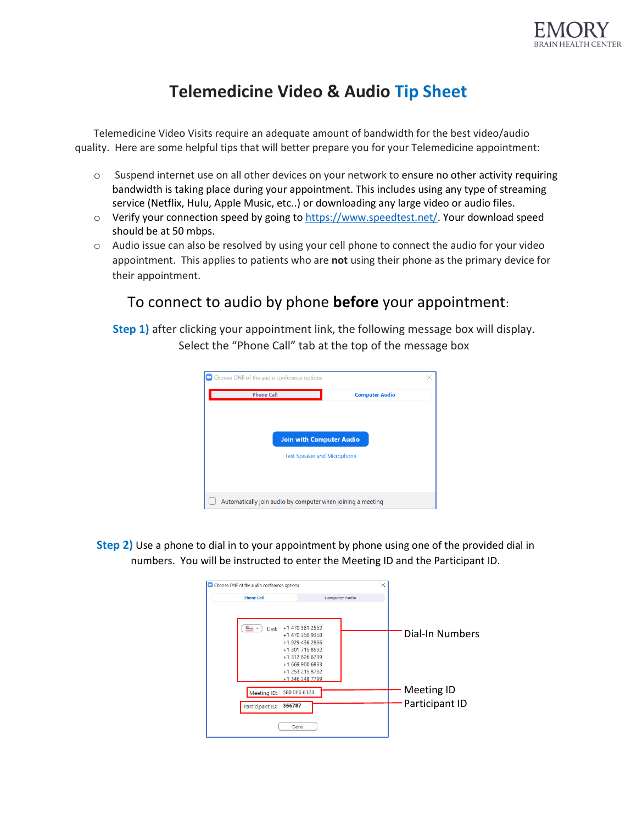

## **Telemedicine Video & Audio Tip Sheet**

Telemedicine Video Visits require an adequate amount of bandwidth for the best video/audio quality. Here are some helpful tips that will better prepare you for your Telemedicine appointment:

- $\circ$  Suspend internet use on all other devices on your network to ensure no other activity requiring bandwidth is taking place during your appointment. This includes using any type of streaming service (Netflix, Hulu, Apple Music, etc..) or downloading any large video or audio files.
- o Verify your connection speed by going t[o https://www.speedtest.net/.](https://www.speedtest.net/) Your download speed should be at 50 mbps.
- $\circ$  Audio issue can also be resolved by using your cell phone to connect the audio for your video appointment. This applies to patients who are **not** using their phone as the primary device for their appointment.

## To connect to audio by phone **before** your appointment:

**Step 1)** after clicking your appointment link, the following message box will display. Select the "Phone Call" tab at the top of the message box



**Step 2)** Use a phone to dial in to your appointment by phone using one of the provided dial in numbers. You will be instructed to enter the Meeting ID and the Participant ID.